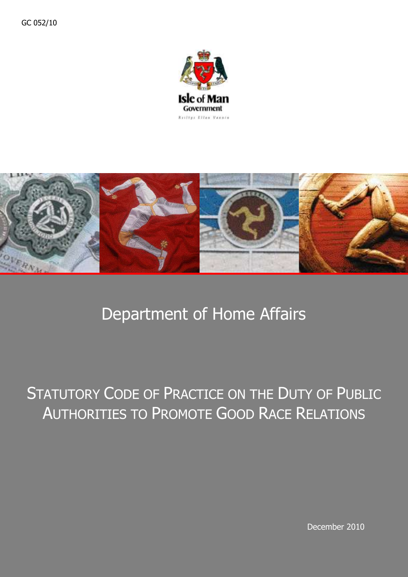GC 052/10





## Department of Home Affairs

# STATUTORY CODE OF PRACTICE ON THE DUTY OF PUBLIC AUTHORITIES TO PROMOTE GOOD RACE RELATIONS

December 2010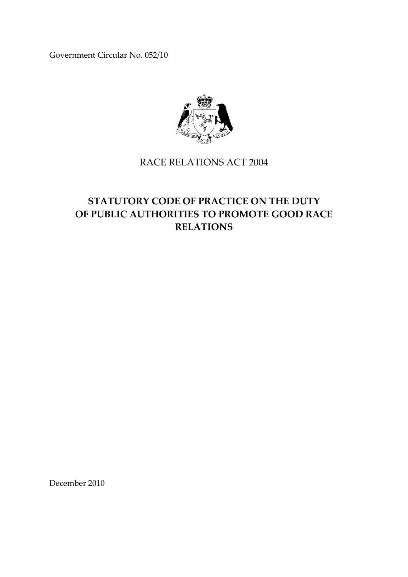Government Circular No. 052/10



## RACE RELATIONS ACT 2004

## **STATUTORY CODE OF PRACTICE ON THE DUTY OF PUBLIC AUTHORITIES TO PROMOTE GOOD RACE RELATIONS**

December 2010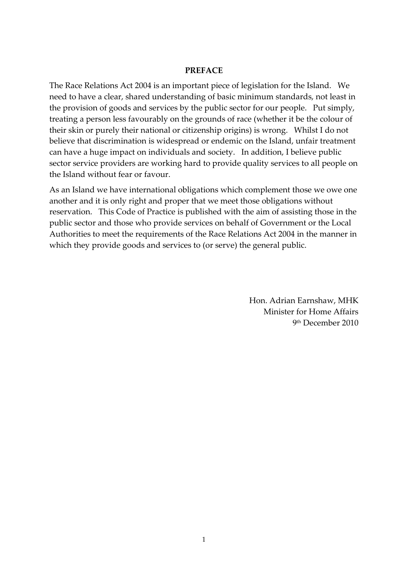#### **PREFACE**

The Race Relations Act 2004 is an important piece of legislation for the Island. We need to have a clear, shared understanding of basic minimum standards, not least in the provision of goods and services by the public sector for our people. Put simply, treating a person less favourably on the grounds of race (whether it be the colour of their skin or purely their national or citizenship origins) is wrong. Whilst I do not believe that discrimination is widespread or endemic on the Island, unfair treatment can have a huge impact on individuals and society. In addition, I believe public sector service providers are working hard to provide quality services to all people on the Island without fear or favour.

As an Island we have international obligations which complement those we owe one another and it is only right and proper that we meet those obligations without reservation. This Code of Practice is published with the aim of assisting those in the public sector and those who provide services on behalf of Government or the Local Authorities to meet the requirements of the Race Relations Act 2004 in the manner in which they provide goods and services to (or serve) the general public.

> Hon. Adrian Earnshaw, MHK Minister for Home Affairs 9 th December 2010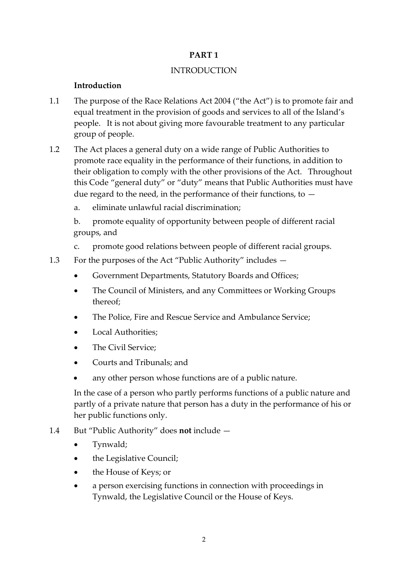## INTRODUCTION

## **Introduction**

- 1.1 The purpose of the Race Relations Act 2004 ('the Act') is to promote fair and equal treatment in the provision of goods and services to all of the Island's people. It is not about giving more favourable treatment to any particular group of people.
- 1.2 The Act places a general duty on a wide range of Public Authorities to promote race equality in the performance of their functions, in addition to their obligation to comply with the other provisions of the Act. Throughout this Code 'general duty' or 'duty' means that Public Authorities must have due regard to the need, in the performance of their functions, to
	- a. eliminate unlawful racial discrimination;
	- b. promote equality of opportunity between people of different racial groups, and
	- c. promote good relations between people of different racial groups.
- 1.3 For the purposes of the Act 'Public Authority' includes
	- Government Departments, Statutory Boards and Offices;
	- The Council of Ministers, and any Committees or Working Groups thereof;
	- The Police, Fire and Rescue Service and Ambulance Service;
	- Local Authorities;
	- The Civil Service;
	- Courts and Tribunals; and
	- any other person whose functions are of a public nature.

In the case of a person who partly performs functions of a public nature and partly of a private nature that person has a duty in the performance of his or her public functions only.

- 1.4 But 'Public Authority' does **not** include
	- Tynwald;
	- the Legislative Council;
	- the House of Keys; or
	- a person exercising functions in connection with proceedings in Tynwald, the Legislative Council or the House of Keys.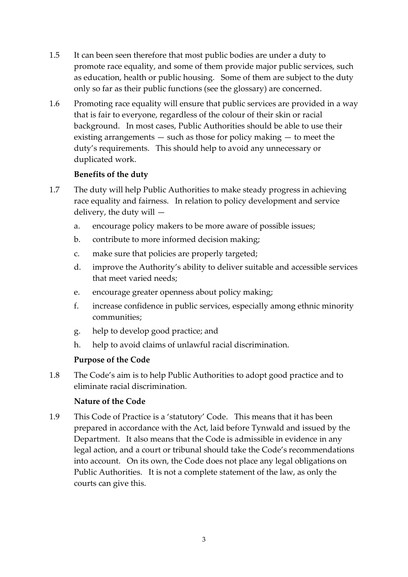- 1.5 It can been seen therefore that most public bodies are under a duty to promote race equality, and some of them provide major public services, such as education, health or public housing. Some of them are subject to the duty only so far as their public functions (see the glossary) are concerned.
- 1.6 Promoting race equality will ensure that public services are provided in a way that is fair to everyone, regardless of the colour of their skin or racial background. In most cases, Public Authorities should be able to use their existing arrangements — such as those for policy making — to meet the duty's requirements. This should help to avoid any unnecessary or duplicated work.

## **Benefits of the duty**

- 1.7 The duty will help Public Authorities to make steady progress in achieving race equality and fairness. In relation to policy development and service delivery, the duty will
	- a. encourage policy makers to be more aware of possible issues;
	- b. contribute to more informed decision making;
	- c. make sure that policies are properly targeted;
	- d. improve the Authority's ability to deliver suitable and accessible services that meet varied needs;
	- e. encourage greater openness about policy making;
	- f. increase confidence in public services, especially among ethnic minority communities;
	- g. help to develop good practice; and
	- h. help to avoid claims of unlawful racial discrimination.

## **Purpose of the Code**

1.8 The Code's aim is to help Public Authorities to adopt good practice and to eliminate racial discrimination.

## **Nature of the Code**

1.9 This Code of Practice is a 'statutory' Code. This means that it has been prepared in accordance with the Act, laid before Tynwald and issued by the Department. It also means that the Code is admissible in evidence in any legal action, and a court or tribunal should take the Code's recommendations into account. On its own, the Code does not place any legal obligations on Public Authorities. It is not a complete statement of the law, as only the courts can give this.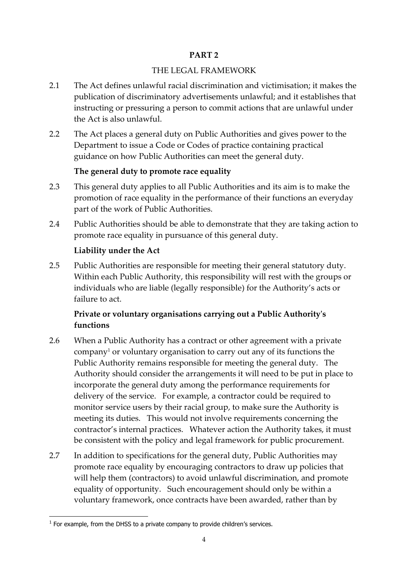### THE LEGAL FRAMEWORK

- 2.1 The Act defines unlawful racial discrimination and victimisation; it makes the publication of discriminatory advertisements unlawful; and it establishes that instructing or pressuring a person to commit actions that are unlawful under the Act is also unlawful.
- 2.2 The Act places a general duty on Public Authorities and gives power to the Department to issue a Code or Codes of practice containing practical guidance on how Public Authorities can meet the general duty.

## **The general duty to promote race equality**

- 2.3 This general duty applies to all Public Authorities and its aim is to make the promotion of race equality in the performance of their functions an everyday part of the work of Public Authorities.
- 2.4 Public Authorities should be able to demonstrate that they are taking action to promote race equality in pursuance of this general duty.

## **Liability under the Act**

2.5 Public Authorities are responsible for meeting their general statutory duty. Within each Public Authority, this responsibility will rest with the groups or individuals who are liable (legally responsible) for the Authority's acts or failure to act.

## **Private or voluntary organisations carrying out a Public Authority's functions**

- 2.6 When a Public Authority has a contract or other agreement with a private company<sup>1</sup> or voluntary organisation to carry out any of its functions the Public Authority remains responsible for meeting the general duty. The Authority should consider the arrangements it will need to be put in place to incorporate the general duty among the performance requirements for delivery of the service. For example, a contractor could be required to monitor service users by their racial group, to make sure the Authority is meeting its duties. This would not involve requirements concerning the contractor's internal practices. Whatever action the Authority takes, it must be consistent with the policy and legal framework for public procurement.
- 2.7 In addition to specifications for the general duty, Public Authorities may promote race equality by encouraging contractors to draw up policies that will help them (contractors) to avoid unlawful discrimination, and promote equality of opportunity. Such encouragement should only be within a voluntary framework, once contracts have been awarded, rather than by

-

 $<sup>1</sup>$  For example, from the DHSS to a private company to provide children's services.</sup>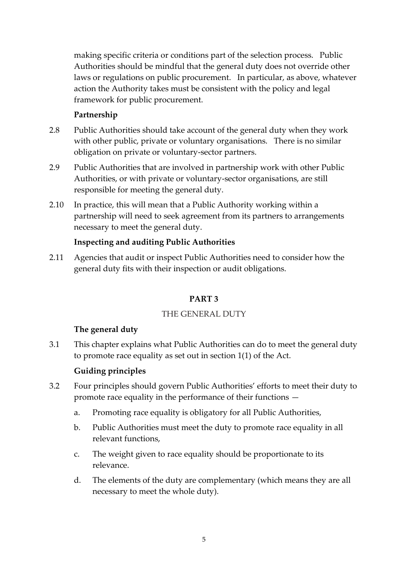making specific criteria or conditions part of the selection process. Public Authorities should be mindful that the general duty does not override other laws or regulations on public procurement. In particular, as above, whatever action the Authority takes must be consistent with the policy and legal framework for public procurement.

## **Partnership**

- 2.8 Public Authorities should take account of the general duty when they work with other public, private or voluntary organisations. There is no similar obligation on private or voluntary-sector partners.
- 2.9 Public Authorities that are involved in partnership work with other Public Authorities, or with private or voluntary-sector organisations, are still responsible for meeting the general duty.
- 2.10 In practice, this will mean that a Public Authority working within a partnership will need to seek agreement from its partners to arrangements necessary to meet the general duty.

## **Inspecting and auditing Public Authorities**

2.11 Agencies that audit or inspect Public Authorities need to consider how the general duty fits with their inspection or audit obligations.

## **PART 3**

## THE GENERAL DUTY

#### **The general duty**

3.1 This chapter explains what Public Authorities can do to meet the general duty to promote race equality as set out in section 1(1) of the Act.

## **Guiding principles**

- 3.2 Four principles should govern Public Authorities' efforts to meet their duty to promote race equality in the performance of their functions
	- a. Promoting race equality is obligatory for all Public Authorities,
	- b. Public Authorities must meet the duty to promote race equality in all relevant functions,
	- c. The weight given to race equality should be proportionate to its relevance.
	- d. The elements of the duty are complementary (which means they are all necessary to meet the whole duty).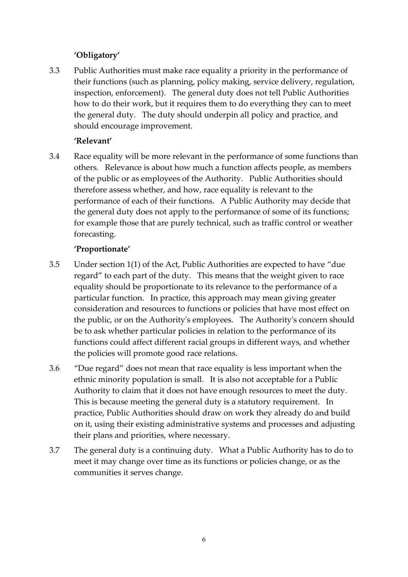## **'Obligatory'**

3.3 Public Authorities must make race equality a priority in the performance of their functions (such as planning, policy making, service delivery, regulation, inspection, enforcement). The general duty does not tell Public Authorities how to do their work, but it requires them to do everything they can to meet the general duty. The duty should underpin all policy and practice, and should encourage improvement.

## **'Relevant'**

3.4 Race equality will be more relevant in the performance of some functions than others. Relevance is about how much a function affects people, as members of the public or as employees of the Authority. Public Authorities should therefore assess whether, and how, race equality is relevant to the performance of each of their functions. A Public Authority may decide that the general duty does not apply to the performance of some of its functions; for example those that are purely technical, such as traffic control or weather forecasting.

## **'Proportionate'**

- 3.5 Under section 1(1) of the Act, Public Authorities are expected to have 'due regard' to each part of the duty. This means that the weight given to race equality should be proportionate to its relevance to the performance of a particular function. In practice, this approach may mean giving greater consideration and resources to functions or policies that have most effect on the public, or on the Authority's employees. The Authority's concern should be to ask whether particular policies in relation to the performance of its functions could affect different racial groups in different ways, and whether the policies will promote good race relations.
- 3.6 'Due regard' does not mean that race equality is less important when the ethnic minority population is small. It is also not acceptable for a Public Authority to claim that it does not have enough resources to meet the duty. This is because meeting the general duty is a statutory requirement. In practice, Public Authorities should draw on work they already do and build on it, using their existing administrative systems and processes and adjusting their plans and priorities, where necessary.
- 3.7 The general duty is a continuing duty. What a Public Authority has to do to meet it may change over time as its functions or policies change, or as the communities it serves change.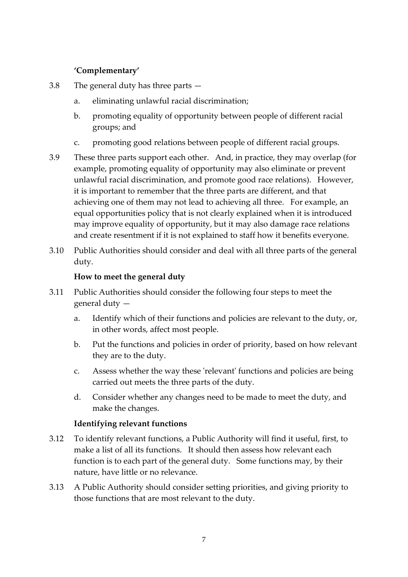## **'Complementary'**

- 3.8 The general duty has three parts
	- a. eliminating unlawful racial discrimination;
	- b. promoting equality of opportunity between people of different racial groups; and
	- c. promoting good relations between people of different racial groups.
- 3.9 These three parts support each other. And, in practice, they may overlap (for example, promoting equality of opportunity may also eliminate or prevent unlawful racial discrimination, and promote good race relations). However, it is important to remember that the three parts are different, and that achieving one of them may not lead to achieving all three. For example, an equal opportunities policy that is not clearly explained when it is introduced may improve equality of opportunity, but it may also damage race relations and create resentment if it is not explained to staff how it benefits everyone.
- 3.10 Public Authorities should consider and deal with all three parts of the general duty.

## **How to meet the general duty**

- 3.11 Public Authorities should consider the following four steps to meet the general duty
	- a. Identify which of their functions and policies are relevant to the duty, or, in other words, affect most people.
	- b. Put the functions and policies in order of priority, based on how relevant they are to the duty.
	- c. Assess whether the way these 'relevant' functions and policies are being carried out meets the three parts of the duty.
	- d. Consider whether any changes need to be made to meet the duty, and make the changes.

## **Identifying relevant functions**

- 3.12 To identify relevant functions, a Public Authority will find it useful, first, to make a list of all its functions. It should then assess how relevant each function is to each part of the general duty. Some functions may, by their nature, have little or no relevance.
- 3.13 A Public Authority should consider setting priorities, and giving priority to those functions that are most relevant to the duty.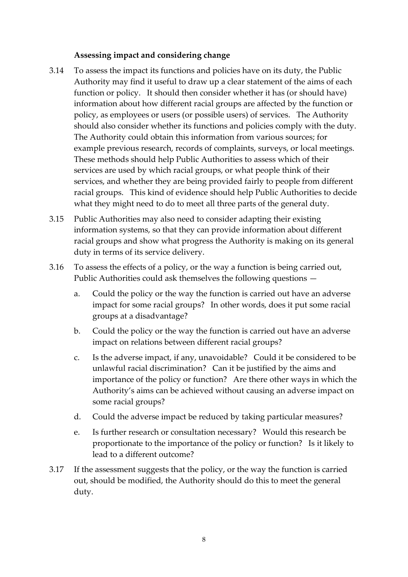#### **Assessing impact and considering change**

- 3.14 To assess the impact its functions and policies have on its duty, the Public Authority may find it useful to draw up a clear statement of the aims of each function or policy. It should then consider whether it has (or should have) information about how different racial groups are affected by the function or policy, as employees or users (or possible users) of services. The Authority should also consider whether its functions and policies comply with the duty. The Authority could obtain this information from various sources; for example previous research, records of complaints, surveys, or local meetings. These methods should help Public Authorities to assess which of their services are used by which racial groups, or what people think of their services, and whether they are being provided fairly to people from different racial groups. This kind of evidence should help Public Authorities to decide what they might need to do to meet all three parts of the general duty.
- 3.15 Public Authorities may also need to consider adapting their existing information systems, so that they can provide information about different racial groups and show what progress the Authority is making on its general duty in terms of its service delivery.
- 3.16 To assess the effects of a policy, or the way a function is being carried out, Public Authorities could ask themselves the following questions
	- a. Could the policy or the way the function is carried out have an adverse impact for some racial groups? In other words, does it put some racial groups at a disadvantage?
	- b. Could the policy or the way the function is carried out have an adverse impact on relations between different racial groups?
	- c. Is the adverse impact, if any, unavoidable? Could it be considered to be unlawful racial discrimination? Can it be justified by the aims and importance of the policy or function? Are there other ways in which the Authority's aims can be achieved without causing an adverse impact on some racial groups?
	- d. Could the adverse impact be reduced by taking particular measures?
	- e. Is further research or consultation necessary? Would this research be proportionate to the importance of the policy or function? Is it likely to lead to a different outcome?
- 3.17 If the assessment suggests that the policy, or the way the function is carried out, should be modified, the Authority should do this to meet the general duty.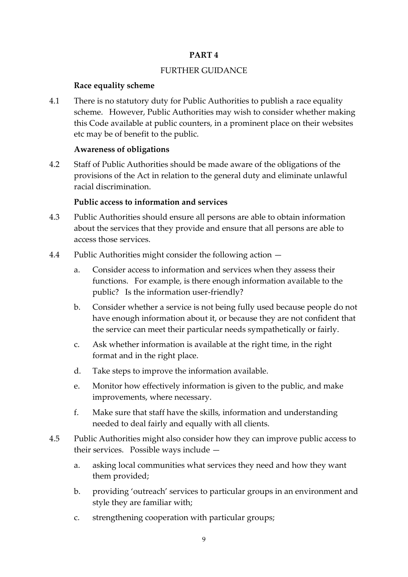#### FURTHER GUIDANCE

#### **Race equality scheme**

4.1 There is no statutory duty for Public Authorities to publish a race equality scheme. However, Public Authorities may wish to consider whether making this Code available at public counters, in a prominent place on their websites etc may be of benefit to the public.

#### **Awareness of obligations**

4.2 Staff of Public Authorities should be made aware of the obligations of the provisions of the Act in relation to the general duty and eliminate unlawful racial discrimination.

#### **Public access to information and services**

- 4.3 Public Authorities should ensure all persons are able to obtain information about the services that they provide and ensure that all persons are able to access those services.
- 4.4 Public Authorities might consider the following action
	- a. Consider access to information and services when they assess their functions. For example, is there enough information available to the public? Is the information user-friendly?
	- b. Consider whether a service is not being fully used because people do not have enough information about it, or because they are not confident that the service can meet their particular needs sympathetically or fairly.
	- c. Ask whether information is available at the right time, in the right format and in the right place.
	- d. Take steps to improve the information available.
	- e. Monitor how effectively information is given to the public, and make improvements, where necessary.
	- f. Make sure that staff have the skills, information and understanding needed to deal fairly and equally with all clients.
- 4.5 Public Authorities might also consider how they can improve public access to their services. Possible ways include
	- a. asking local communities what services they need and how they want them provided;
	- b. providing 'outreach' services to particular groups in an environment and style they are familiar with;
	- c. strengthening cooperation with particular groups;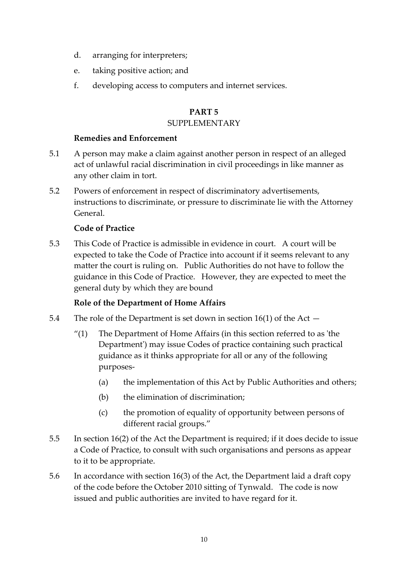- d. arranging for interpreters;
- e. taking positive action; and
- f. developing access to computers and internet services.

#### SUPPLEMENTARY

#### **Remedies and Enforcement**

- 5.1 A person may make a claim against another person in respect of an alleged act of unlawful racial discrimination in civil proceedings in like manner as any other claim in tort.
- 5.2 Powers of enforcement in respect of discriminatory advertisements, instructions to discriminate, or pressure to discriminate lie with the Attorney General.

#### **Code of Practice**

5.3 This Code of Practice is admissible in evidence in court. A court will be expected to take the Code of Practice into account if it seems relevant to any matter the court is ruling on. Public Authorities do not have to follow the guidance in this Code of Practice. However, they are expected to meet the general duty by which they are bound

## **Role of the Department of Home Affairs**

- 5.4 The role of the Department is set down in section 16(1) of the Act
	- $''(1)$  The Department of Home Affairs (in this section referred to as 'the Department') may issue Codes of practice containing such practical guidance as it thinks appropriate for all or any of the following purposes-
		- (a) the implementation of this Act by Public Authorities and others;
		- (b) the elimination of discrimination;
		- (c) the promotion of equality of opportunity between persons of different racial groups.'
- 5.5 In section 16(2) of the Act the Department is required; if it does decide to issue a Code of Practice, to consult with such organisations and persons as appear to it to be appropriate.
- 5.6 In accordance with section 16(3) of the Act, the Department laid a draft copy of the code before the October 2010 sitting of Tynwald. The code is now issued and public authorities are invited to have regard for it.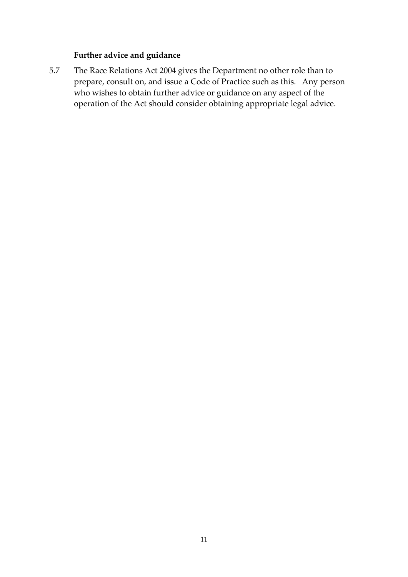## **Further advice and guidance**

5.7 The Race Relations Act 2004 gives the Department no other role than to prepare, consult on, and issue a Code of Practice such as this. Any person who wishes to obtain further advice or guidance on any aspect of the operation of the Act should consider obtaining appropriate legal advice.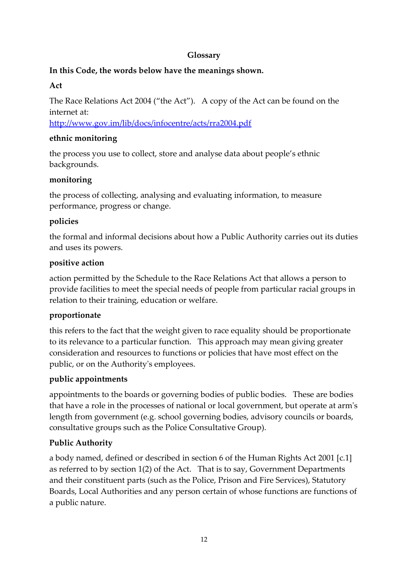## **Glossary**

## **In this Code, the words below have the meanings shown.**

## **Act**

The Race Relations Act 2004 ("the Act"). A copy of the Act can be found on the internet at:

<http://www.gov.im/lib/docs/infocentre/acts/rra2004.pdf>

## **ethnic monitoring**

the process you use to collect, store and analyse data about people's ethnic backgrounds.

## **monitoring**

the process of collecting, analysing and evaluating information, to measure performance, progress or change.

## **policies**

the formal and informal decisions about how a Public Authority carries out its duties and uses its powers.

## **positive action**

action permitted by the Schedule to the Race Relations Act that allows a person to provide facilities to meet the special needs of people from particular racial groups in relation to their training, education or welfare.

## **proportionate**

this refers to the fact that the weight given to race equality should be proportionate to its relevance to a particular function. This approach may mean giving greater consideration and resources to functions or policies that have most effect on the public, or on the Authority's employees.

## **public appointments**

appointments to the boards or governing bodies of public bodies. These are bodies that have a role in the processes of national or local government, but operate at arm's length from government (e.g. school governing bodies, advisory councils or boards, consultative groups such as the Police Consultative Group).

## **Public Authority**

a body named, defined or described in section 6 of the Human Rights Act 2001 [c.1] as referred to by section 1(2) of the Act. That is to say, Government Departments and their constituent parts (such as the Police, Prison and Fire Services), Statutory Boards, Local Authorities and any person certain of whose functions are functions of a public nature.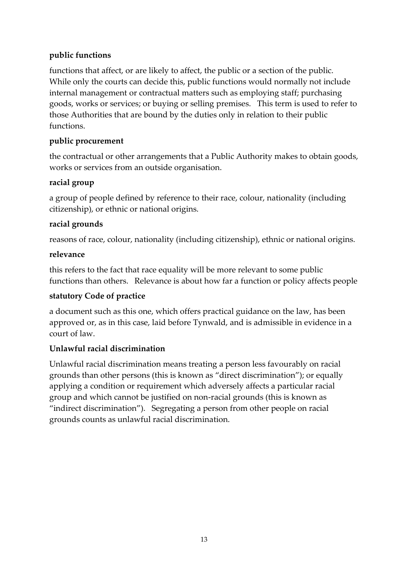## **public functions**

functions that affect, or are likely to affect, the public or a section of the public. While only the courts can decide this, public functions would normally not include internal management or contractual matters such as employing staff; purchasing goods, works or services; or buying or selling premises. This term is used to refer to those Authorities that are bound by the duties only in relation to their public functions.

## **public procurement**

the contractual or other arrangements that a Public Authority makes to obtain goods, works or services from an outside organisation.

## **racial group**

a group of people defined by reference to their race, colour, nationality (including citizenship), or ethnic or national origins.

## **racial grounds**

reasons of race, colour, nationality (including citizenship), ethnic or national origins.

## **relevance**

this refers to the fact that race equality will be more relevant to some public functions than others. Relevance is about how far a function or policy affects people

## **statutory Code of practice**

a document such as this one, which offers practical guidance on the law, has been approved or, as in this case, laid before Tynwald, and is admissible in evidence in a court of law.

## **Unlawful racial discrimination**

Unlawful racial discrimination means treating a person less favourably on racial grounds than other persons (this is known as 'direct discrimination'); or equally applying a condition or requirement which adversely affects a particular racial group and which cannot be justified on non-racial grounds (this is known as 'indirect discrimination'). Segregating a person from other people on racial grounds counts as unlawful racial discrimination.